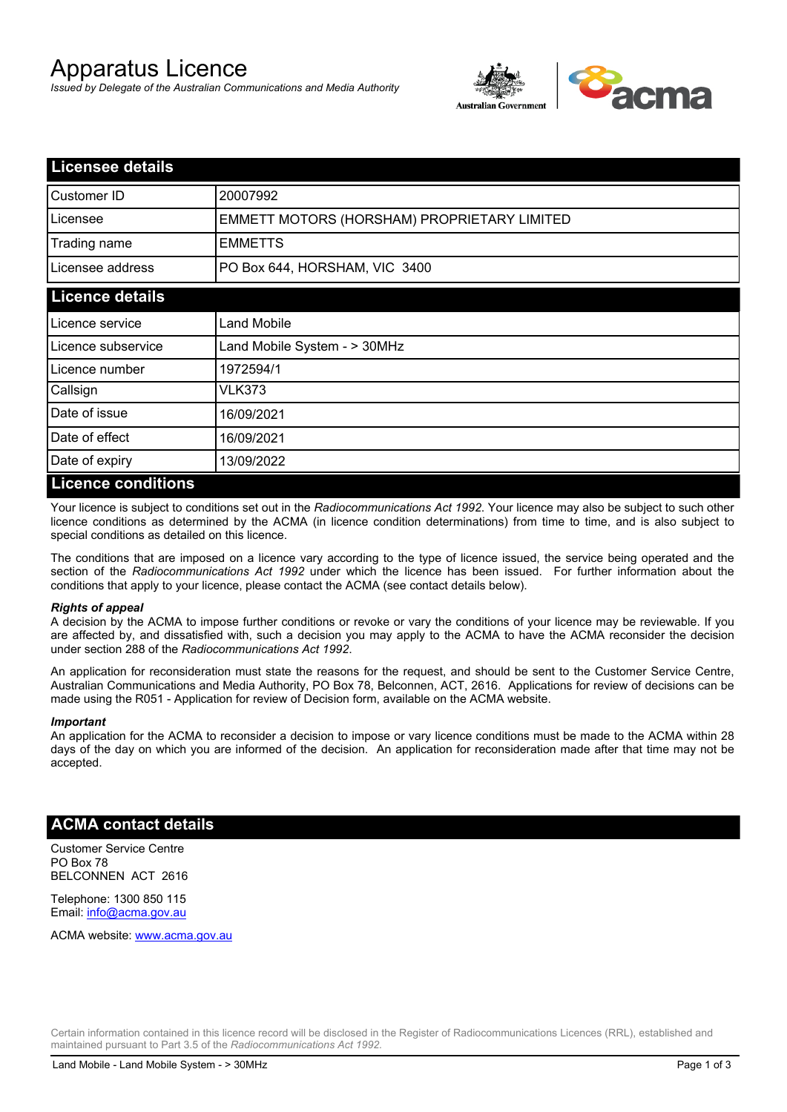# Apparatus Licence

*Issued by Delegate of the Australian Communications and Media Authority*



| <b>Licensee details</b> |                                             |
|-------------------------|---------------------------------------------|
| Customer ID             | 20007992                                    |
| Licensee                | EMMETT MOTORS (HORSHAM) PROPRIETARY LIMITED |
| Trading name            | <b>EMMETTS</b>                              |
| Licensee address        | PO Box 644, HORSHAM, VIC 3400               |
| <b>Licence details</b>  |                                             |
| l Licence service       | <b>Land Mobile</b>                          |
| Licence subservice      | Land Mobile System - > 30MHz                |
| l Licence number        | 1972594/1                                   |
| Callsign                | VLK373                                      |
| Date of issue           | 16/09/2021                                  |
| Date of effect          | 16/09/2021                                  |
| Date of expiry          | 13/09/2022                                  |
| Licance conditions      |                                             |

### **Licence conditions**

Your licence is subject to conditions set out in the *Radiocommunications Act 1992*. Your licence may also be subject to such other licence conditions as determined by the ACMA (in licence condition determinations) from time to time, and is also subject to special conditions as detailed on this licence.

The conditions that are imposed on a licence vary according to the type of licence issued, the service being operated and the section of the *Radiocommunications Act 1992* under which the licence has been issued. For further information about the conditions that apply to your licence, please contact the ACMA (see contact details below).

#### *Rights of appeal*

A decision by the ACMA to impose further conditions or revoke or vary the conditions of your licence may be reviewable. If you are affected by, and dissatisfied with, such a decision you may apply to the ACMA to have the ACMA reconsider the decision under section 288 of the *Radiocommunications Act 1992*.

An application for reconsideration must state the reasons for the request, and should be sent to the Customer Service Centre, Australian Communications and Media Authority, PO Box 78, Belconnen, ACT, 2616. Applications for review of decisions can be made using the R051 - Application for review of Decision form, available on the ACMA website.

#### *Important*

An application for the ACMA to reconsider a decision to impose or vary licence conditions must be made to the ACMA within 28 days of the day on which you are informed of the decision. An application for reconsideration made after that time may not be accepted.

### **ACMA contact details**

Customer Service Centre PO Box 78 BELCONNEN ACT 2616

Telephone: 1300 850 115 Email: info@acma.gov.au

ACMA website: www.acma.gov.au

Certain information contained in this licence record will be disclosed in the Register of Radiocommunications Licences (RRL), established and maintained pursuant to Part 3.5 of the *Radiocommunications Act 1992.*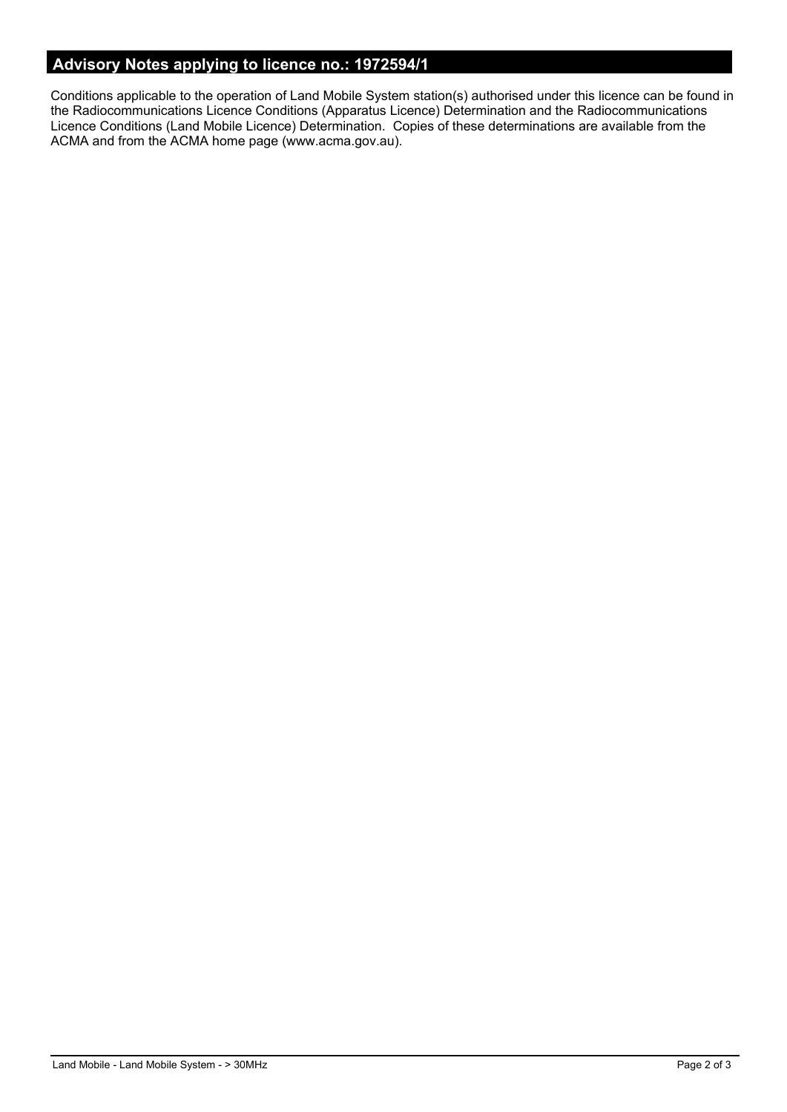# **Advisory Notes applying to licence no.: 1972594/1**

Conditions applicable to the operation of Land Mobile System station(s) authorised under this licence can be found in the Radiocommunications Licence Conditions (Apparatus Licence) Determination and the Radiocommunications Licence Conditions (Land Mobile Licence) Determination. Copies of these determinations are available from the ACMA and from the ACMA home page (www.acma.gov.au).